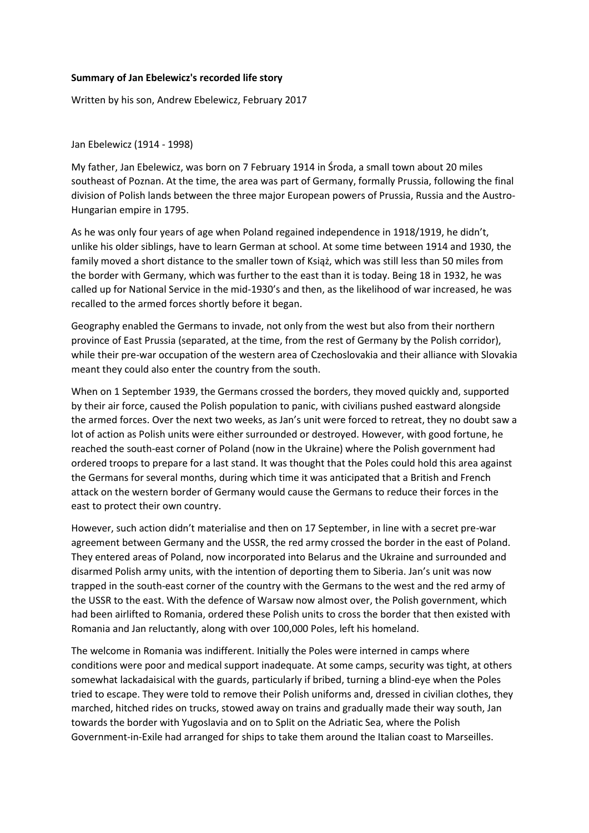## **Summary of Jan Ebelewicz's recorded life story**

Written by his son, Andrew Ebelewicz, February 2017

Jan Ebelewicz (1914 - 1998)

My father, Jan Ebelewicz, was born on 7 February 1914 in Środa, a small town about 20 miles southeast of Poznan. At the time, the area was part of Germany, formally Prussia, following the final division of Polish lands between the three major European powers of Prussia, Russia and the Austro-Hungarian empire in 1795.

As he was only four years of age when Poland regained independence in 1918/1919, he didn't, unlike his older siblings, have to learn German at school. At some time between 1914 and 1930, the family moved a short distance to the smaller town of Książ, which was still less than 50 miles from the border with Germany, which was further to the east than it is today. Being 18 in 1932, he was called up for National Service in the mid-1930's and then, as the likelihood of war increased, he was recalled to the armed forces shortly before it began.

Geography enabled the Germans to invade, not only from the west but also from their northern province of East Prussia (separated, at the time, from the rest of Germany by the Polish corridor), while their pre-war occupation of the western area of Czechoslovakia and their alliance with Slovakia meant they could also enter the country from the south.

When on 1 September 1939, the Germans crossed the borders, they moved quickly and, supported by their air force, caused the Polish population to panic, with civilians pushed eastward alongside the armed forces. Over the next two weeks, as Jan's unit were forced to retreat, they no doubt saw a lot of action as Polish units were either surrounded or destroyed. However, with good fortune, he reached the south-east corner of Poland (now in the Ukraine) where the Polish government had ordered troops to prepare for a last stand. It was thought that the Poles could hold this area against the Germans for several months, during which time it was anticipated that a British and French attack on the western border of Germany would cause the Germans to reduce their forces in the east to protect their own country.

However, such action didn't materialise and then on 17 September, in line with a secret pre-war agreement between Germany and the USSR, the red army crossed the border in the east of Poland. They entered areas of Poland, now incorporated into Belarus and the Ukraine and surrounded and disarmed Polish army units, with the intention of deporting them to Siberia. Jan's unit was now trapped in the south-east corner of the country with the Germans to the west and the red army of the USSR to the east. With the defence of Warsaw now almost over, the Polish government, which had been airlifted to Romania, ordered these Polish units to cross the border that then existed with Romania and Jan reluctantly, along with over 100,000 Poles, left his homeland.

The welcome in Romania was indifferent. Initially the Poles were interned in camps where conditions were poor and medical support inadequate. At some camps, security was tight, at others somewhat lackadaisical with the guards, particularly if bribed, turning a blind-eye when the Poles tried to escape. They were told to remove their Polish uniforms and, dressed in civilian clothes, they marched, hitched rides on trucks, stowed away on trains and gradually made their way south, Jan towards the border with Yugoslavia and on to Split on the Adriatic Sea, where the Polish Government-in-Exile had arranged for ships to take them around the Italian coast to Marseilles.